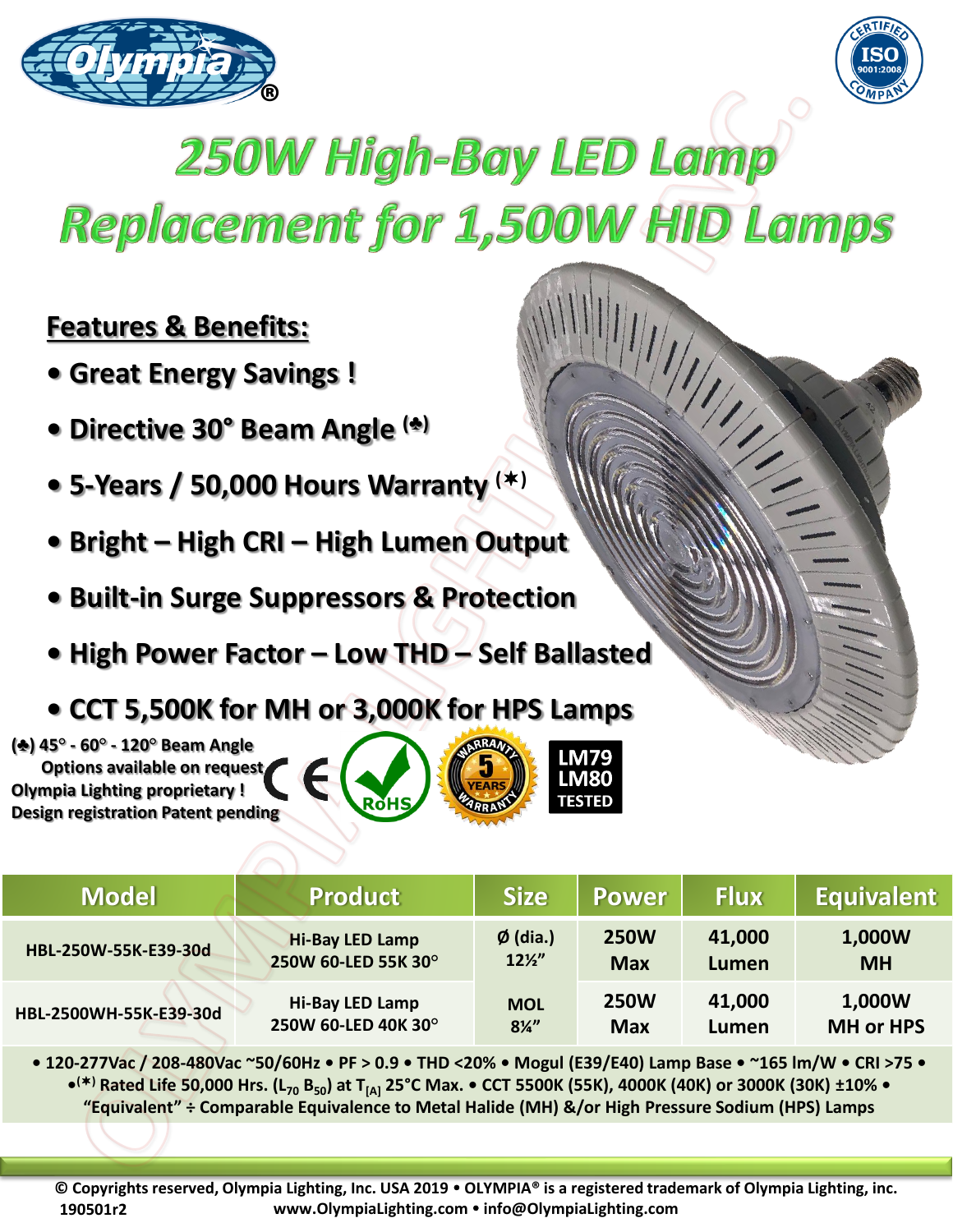



## 250W High-Bay LED Lamp Replacement for 1,500W HID Lamps

## **Features & Benefits:**

- **Great Energy Savings !**
- **Directive 30° Beam Angle (♣)**
- **5-Years / 50,000 Hours Warranty ()**
- **Bright – High CRI – High Lumen Output**
- **Built-in Surge Suppressors & Protection**
- **High Power Factor – Low THD – Self Ballasted**
- **CCT 5,500K for MH or 3,000K for HPS Lamps**

**(♣) 45° - 60° - 120° Beam Angle Options available on request Olympia Lighting proprietary ! Design registration Patent pending**





**IM79** LM80 **TESTED** 

**• 120-277Vac / 208-480Vac ~50/60Hz • PF > 0.9 • THD <20% • Mogul (E39/E40) Lamp Base • ~165 lm/W • CRI >75 • • () Rated Life 50,000 Hrs. (L<sup>70</sup> B50) at T[A] 25°C Max. • CCT 5500K (55K), 4000K (40K) or 3000K (30K) ±10% • "Equivalent" ÷ Comparable Equivalence to Metal Halide (MH) &/or High Pressure Sodium (HPS) Lamps** 

**© Copyrights reserved, Olympia Lighting, Inc. USA 2019 OLYMPIA® is a registered trademark of Olympia Lighting, inc. www.OlympiaLighting.com info@OlympiaLighting.com 190501r2**